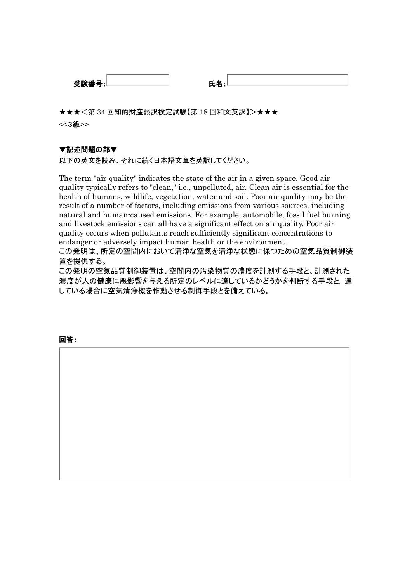| 332 F.<br>. . | . . |  |
|---------------|-----|--|
| 又見            |     |  |

★★★<第 34 回知的財産翻訳検定試験【第 18 回和文英訳】>★★★ <<3級>>

# ▼記述問題の部▼

以下の英文を読み、それに続く日本語文章を英訳してください。

The term "air quality" indicates the state of the air in a given space. Good air quality typically refers to "clean," i.e., unpolluted, air. Clean air is essential for the health of humans, wildlife, vegetation, water and soil. Poor air quality may be the result of a number of factors, including emissions from various sources, including natural and human-caused emissions. For example, automobile, fossil fuel burning and livestock emissions can all have a significant effect on air quality. Poor air quality occurs when pollutants reach sufficiently significant concentrations to endanger or adversely impact human health or the environment.

この発明は、所定の空間内において清浄な空気を清浄な状態に保つための空気品質制御装 置を提供する。

この発明の空気品質制御装置は、空間内の汚染物質の濃度を計測する手段と、計測された 濃度が人の健康に悪影響を与える所定のレベルに達しているかどうかを判断する手段と, 達 している場合に空気清浄機を作動させる制御手段とを備えている。

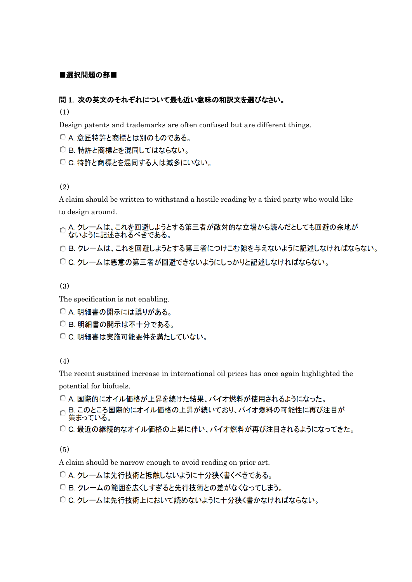### ■選択問題の部■

### 問 1. 次の英文のそれぞれについて最も近い意味の和訳文を選びなさい。

(1)

Design patents and trademarks are often confused but are different things.

○ A. 意匠特許と商標とは別のものである。

○ B. 特許と商標とを混同してはならない。

C C. 特許と商標とを混同する人は滅多にいない。

(2)

A claim should be written to withstand a hostile reading by a third party who would like to design around.

○ A. クレームは、これを回避しようとする第三者が敵対的な立場から読んだとしても回避の余地が<br>○ ないように記述されるべきである。

○ B. クレームは、これを回避しようとする第三者につけこむ隙を与えないように記述しなければならない。

○ C. クレームは悪意の第三者が回避できないようにしっかりと記述しなければならない。

(3)

The specification is not enabling.

○ A. 明細書の開示には誤りがある。

- CB. 明細書の開示は不十分である。
- C C. 明細書は実施可能要件を満たしていない。

(4)

The recent sustained increase in international oil prices has once again highlighted the potential for biofuels.

○ A. 国際的にオイル価格が上昇を続けた結果、バイオ燃料が使用されるようになった。

○ B このところ国際的にオイル価格の上昇が続いており、バイオ燃料の可能性に再び注目が 集まっている。

○ C. 最近の継続的なオイル価格の上昇に伴い、バイオ燃料が再び注目されるようになってきた。

(5)

A claim should be narrow enough to avoid reading on prior art.

- A. クレームは先行技術と抵触しないように十分狭く書くべきである。
- B. クレームの範囲を広くしすぎると先行技術との差がなくなってしまう。
- C. クレームは先行技術上において読めないように十分狭く書かなければならない。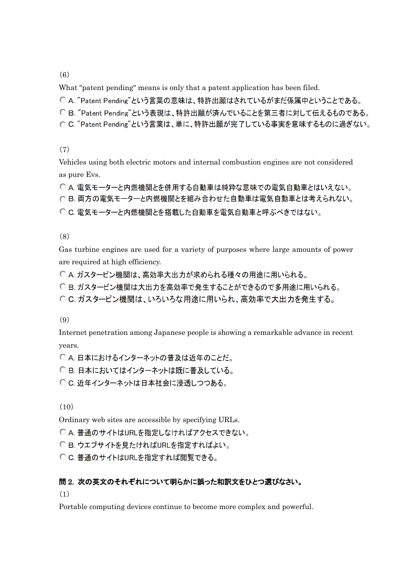(6)

What "patent pending" means is only that a patent application has been filed.

○ A. "Patent Pending"という言葉の意味は、特許出願はされているがまだ係属中ということである。

○ B. "Patent Pending"という表現は、特許出願が済んでいることを第三者に対して伝えるものである。

○ C. "Patent Pending"という言葉は、単に、特許出願が完了している事実を意味するものに過ぎない。

(7)

Vehicles using both electric motors and internal combustion engines are not considered as pure Evs.

○ A. 電気モーターと内燃機関とを併用する自動車は純粋な意味での電気自動車とはいえない。 ○ B. 両方の電気モーターと内燃機関とを組み合わせた自動車は電気自動車とは考えられない。 ○ C. 電気モーターと内燃機関とを搭載した自動車を電気自動車と呼ぶべきではない。

(8)

Gas turbine engines are used for a variety of purposes where large amounts of power are required at high efficiency.

○ A. ガスタービン機関は、高効率大出力が求められる種々の用途に用いられる。

○ B. ガスタービン機関は大出力を高効率で発生することができるので多用途に用いられる。

○ C. ガスタービン機関は、いろいろな用途に用いられ、高効率で大出力を発生する。

(9)

Internet penetration among Japanese people is showing a remarkable advance in recent years.

○ A. 日本におけるインターネットの普及は近年のことだ。

○ B. 日本においてはインターネットは既に普及している。

○ C. 近年インターネットは日本社会に浸透しつつある。

(10)

Ordinary web sites are accessible by specifying URLs.

○ A. 普通のサイトはURLを指定しなければアクセスできない。

○ B. ウエブサイトを見たければURLを指定すればよい。

C C. 普通のサイトはURLを指定すれば閲覧できる。

# 問 2. 次の英文のそれぞれについて明らかに誤った和訳文をひとつ選びなさい。

(1)

Portable computing devices continue to become more complex and powerful.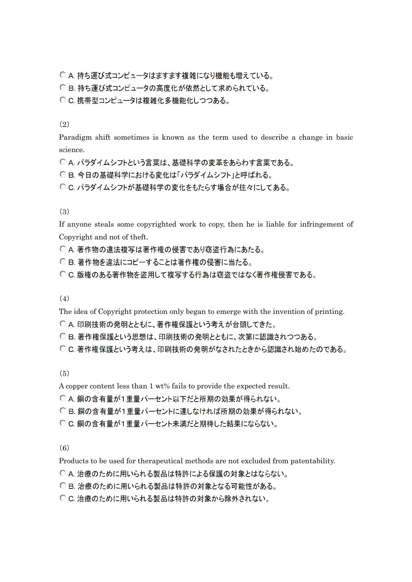○ A. 持ち運び式コンピュータはますます複雑になり機能も増えている。

○ B. 持ち運び式コンピュータの高度化が依然として求められている。

○ C. 携帯型コンピュータは複雑化多機能化しつつある。

### (2)

Paradigm shift sometimes is known as the term used to describe a change in basic science.

○ A. パラダイムシフトという言葉は、基礎科学の変革をあらわす言葉である。

○B. 今日の基礎科学における変化は「パラダイムシフト」と呼ばれる。

○ C. パラダイムシフトが基礎科学の変化をもたらす場合が往々にしてある。

# (3)

If anyone steals some copyrighted work to copy, then he is liable for infringement of Copyright and not of theft.

○ A. 著作物の違法複写は著作権の侵害であり窃盗行為にあたる。

○ B 著作物を違法にコピーすることは著作権の侵害に当たる。

○ C. 版権のある著作物を盗用して複写する行為は窃盗ではなく著作権侵害である。

(4)

The idea of Copyright protection only began to emerge with the invention of printing.

○ A. 印刷技術の発明とともに、著作権保護という考えが台頭してきた。

○ B. 著作権保護という思想は、印刷技術の発明とともに、次第に認識されつつある。

○ C. 著作権保護という考えは、印刷技術の発明がなされたときから認識され始めたのである。

(5)

A copper content less than 1 wt% fails to provide the expected result.

○ A. 銅の含有量が1重量パーセント以下だと所期の効果が得られない。

○ B. 銅の含有量が1重量パーセントに達しなければ所期の効果が得られない。

○ C. 銅の含有量が1重量パーセント未満だと期待した結果にならない。

(6)

Products to be used for therapeutical methods are not excluded from patentability.

○ A. 治療のために用いられる製品は特許による保護の対象とはならない。

○ B. 治療のために用いられる製品は特許の対象となる可能性がある。

○ C. 治療のために用いられる製品は特許の対象から除外されない。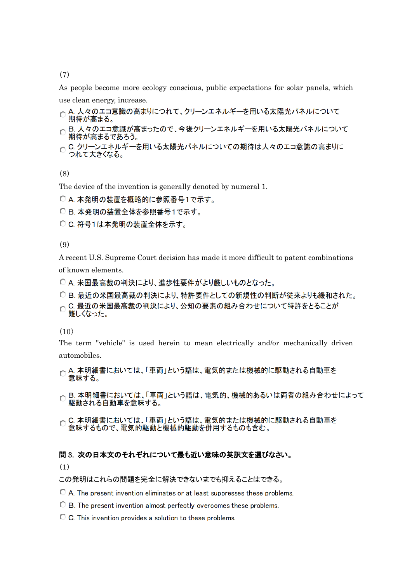(7)

As people become more ecology conscious, public expectations for solar panels, which

- use clean energy, increase.<br>○ A. 人々のエコ意識の高まりにつれて、クリーンエネルギーを用いる太陽光パネルについて 期待が高まる。
- 期待が高まるであろう。
- C. クリーンエネルギーを用いる太陽光パネルについての期待は人々のエコ意識の高まりに つれて大きくなる。

(8)

The device of the invention is generally denoted by numeral 1.

○ A. 本発明の装置を概略的に参照番号1で示す。

○ B. 本発明の装置全体を参照番号1で示す。

○ C. 符号1は本発明の装置全体を示す。

(9)

A recent U.S. Supreme Court decision has made it more difficult to patent combinations of known elements.

○ A. 米国最高裁の判決により、進歩性要件がより厳しいものとなった。

○ B. 最近の米国最高裁の判決により、特許要件としての新規性の判断が従来よりも緩和された。 ○ C. 最近の米国最高裁の判決により、公知の要素の組み合わせについて特許をとることが 難しくなった。

(10)

The term "vehicle" is used herein to mean electrically and/or mechanically driven automobiles.

○ A. 本明細書においては、「車両」という語は、電気的または機械的に駆動される自動車を 意味する。

○ B. 本明細書においては、「車両」という語は、電気的、機械的あるいは両者の組み合わせによって 駆動される自動車を意味する。

○ C. 本明細書においては、「車両」という語は、電気的または機械的に駆動される自動車を 意味するもので、電気的駆動と機械的駆動を併用するものも含む。

### 問 3. 次の日本文のそれぞれについて最も近い意味の英訳文を選びなさい。

(1)

この発明はこれらの問題を完全に解決できないまでも抑えることはできる。

C A. The present invention eliminates or at least suppresses these problems.

- ◯ B. The present invention almost perfectly overcomes these problems.
- C. This invention provides a solution to these problems.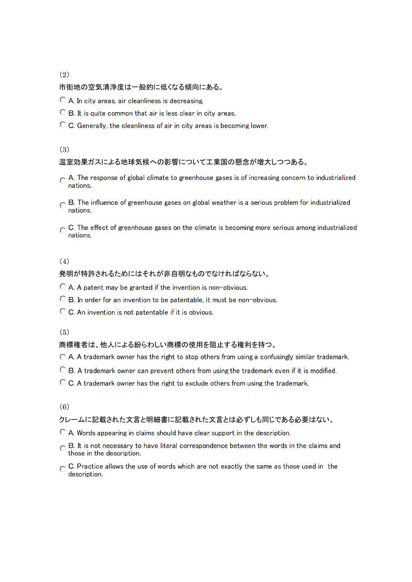(2)

### 市街地の空気清浄度は一般的に低くなる傾向にある。

- A. In city areas, air cleanliness is decreasing.
- ◯ B. It is quite common that air is less clear in city areas.
- C. Generally, the cleanliness of air in city areas is becoming lower.

### (3)

### 温室効果ガスによる地球気候への影響について工業国の懸念が増大しつつある。

- A. The response of global climate to greenhouse gases is of increasing concern to industrialized nations.
- B. The influence of greenhouse gases on global weather is a serious problem for industrialized nations
- C. The effect of greenhouse gases on the climate is becoming more serious among industrialized nations.

# (4)

### 発明が特許されるためにはそれが非自明なものでなければならない。

- $\bigcirc$  A. A patent may be granted if the invention is non-obvious.
- <sup>O</sup> B. In order for an invention to be patentable, it must be non-obvious.
- C. An invention is not patentable if it is obvious.

### $(5)$

#### 商標権者は、他人による紛らわしい商標の使用を阻止する権利を持つ。

- A. A trademark owner has the right to stop others from using a confusingly similar trademark.
- C B. A trademark owner can prevent others from using the trademark even if it is modified.
- C. A trademark owner has the right to exclude others from using the trademark.

#### (6)

# クレームに記載された文言と明細書に記載された文言とは必ずしも同じである必要はない。

- A. Words appearing in claims should have clear support in the description.
- B. It is not necessary to have literal correspondence between the words in the claims and those in the description.
- C. Practice allows the use of words which are not exactly the same as those used in the description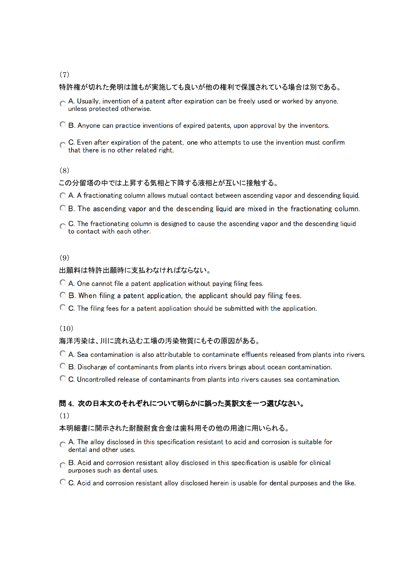# (7)

# 特許権が切れた発明は誰もが実施しても良いが他の権利で保護されている場合は別である。

- A. Usually, invention of a patent after expiration can be freely used or worked by anyone, unless protected otherwise.
- $\bullet$  B. Anvone can practice inventions of expired patents, upon approval by the inventors.
- C. Even after expiration of the patent, one who attempts to use the invention must confirm that there is no other related right.

# (8)

# この分留塔の中では上昇する気相と下降する液相とが互いに接触する。

- ◯ A. A fractionating column allows mutual contact between ascending vapor and descending liquid.
- $\bullet$  B. The ascending vapor and the descending liquid are mixed in the fractionating column.
- $\bigcap$  C. The fractionating column is designed to cause the ascending vapor and the descending liquid to contact with each other.

# (9)

# 出願料は特許出願時に支払わなければならない。

- C A. One cannot file a patent application without paying filing fees.
- C B. When filing a patent application, the applicant should pay filing fees.
- $\circ$  C. The filing fees for a patent application should be submitted with the application.

# $(10)$

# 海洋汚染は、川に流れ込む工場の汚染物質にもその原因がある。

- © A. Sea contamination is also attributable to contaminate effluents released from plants into rivers.
- C B. Discharge of contaminants from plants into rivers brings about ocean contamination.
- C. Uncontrolled release of contaminants from plants into rivers causes sea contamination.

# 問 4. 次の日本文のそれぞれについて明らかに誤った英訳文を一つ選びなさい。

# (1)

# 本明細書に開示された耐酸耐食合金は歯科用その他の用途に用いられる。

- A. The alloy disclosed in this specification resistant to acid and corrosion is suitable for dental and other uses.
- B. Acid and corrosion resistant alloy disclosed in this specification is usable for clinical purposes such as dental uses.
- $\bullet$  C. Acid and corrosion resistant allov disclosed herein is usable for dental purposes and the like.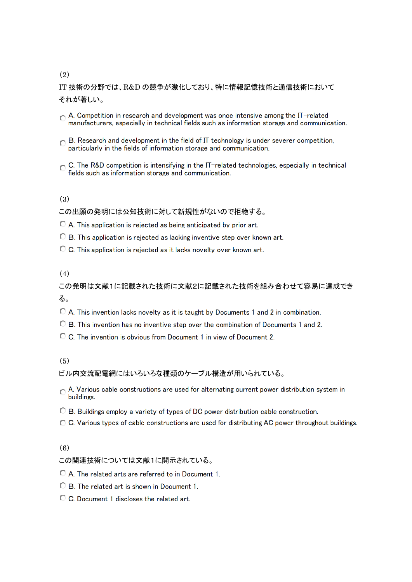# (2)

# IT 技術の分野では、R&D の競争が激化しており、特に情報記憶技術と通信技術において それが著しい。

- A. Competition in research and development was once intensive among the IT-related manufacturers, especially in technical fields such as information storage and communication.
- $\sim$  B. Research and development in the field of IT technology is under severer competition, particularly in the fields of information storage and communication.
- C. The R&D competition is intensifying in the IT-related technologies, especially in technical fields such as information storage and communication.

### (3)

# この出願の発明には公知技術に対して新規性がないので拒絶する。

- C A. This application is rejected as being anticipated by prior art.
- C B. This application is rejected as lacking inventive step over known art.
- C. This application is rejected as it lacks novelty over known art.

# (4)

この発明は文献1に記載された技術に文献2に記載された技術を組み合わせて容易に達成でき る。

- $\bullet$  A. This invention lacks novelty as it is taught by Documents 1 and 2 in combination.
- **C** B. This invention has no inventive step over the combination of Documents 1 and 2.
- C C. The invention is obvious from Document 1 in view of Document 2.

# (5)

# ビル内交流配電網にはいろいろな種類のケーブル構造が用いられている。

- A. Various cable constructions are used for alternating current power distribution system in buildings.
- $\bigcirc$  B. Buildings employ a variety of types of DC power distribution cable construction.
- C. Various types of cable constructions are used for distributing AC power throughout buildings.

# (6)

### この関連技術については文献1に開示されている。

A. The related arts are referred to in Document 1.

- C B. The related art is shown in Document 1.
- C. Document 1 discloses the related art.